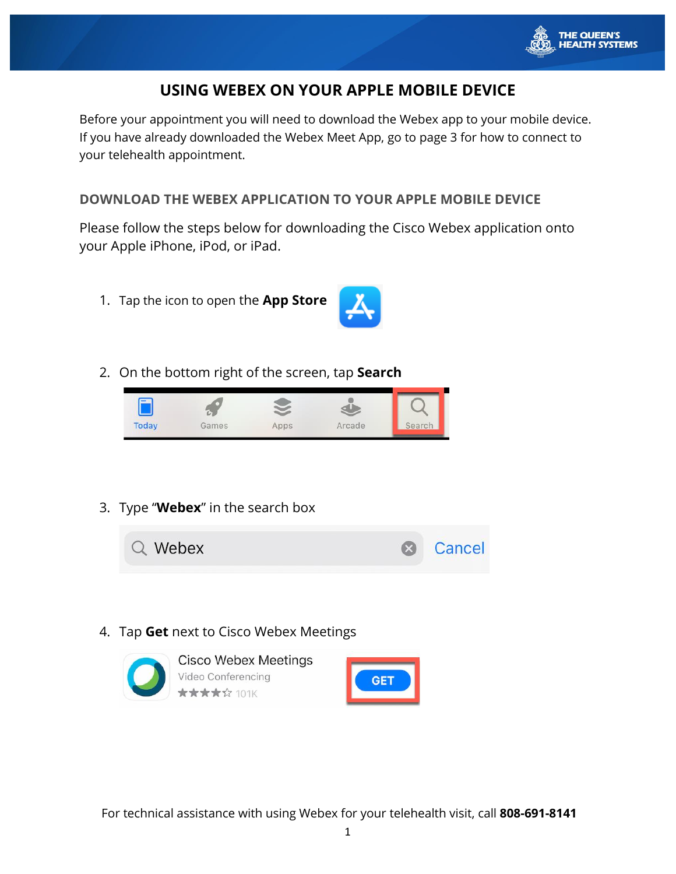

# **USING WEBEX ON YOUR APPLE MOBILE DEVICE**

Before your appointment you will need to download the Webex app to your mobile device. If you have already downloaded the Webex Meet App, go to page 3 for how to connect to your telehealth appointment.

## **DOWNLOAD THE WEBEX APPLICATION TO YOUR APPLE MOBILE DEVICE**

Please follow the steps below for downloading the Cisco Webex application onto your Apple iPhone, iPod, or iPad.

1. Tap the icon to open the **App Store**



2. On the bottom right of the screen, tap **Search**



3. Type "**Webex**" in the search box



4. Tap **Get** next to Cisco Webex Meetings

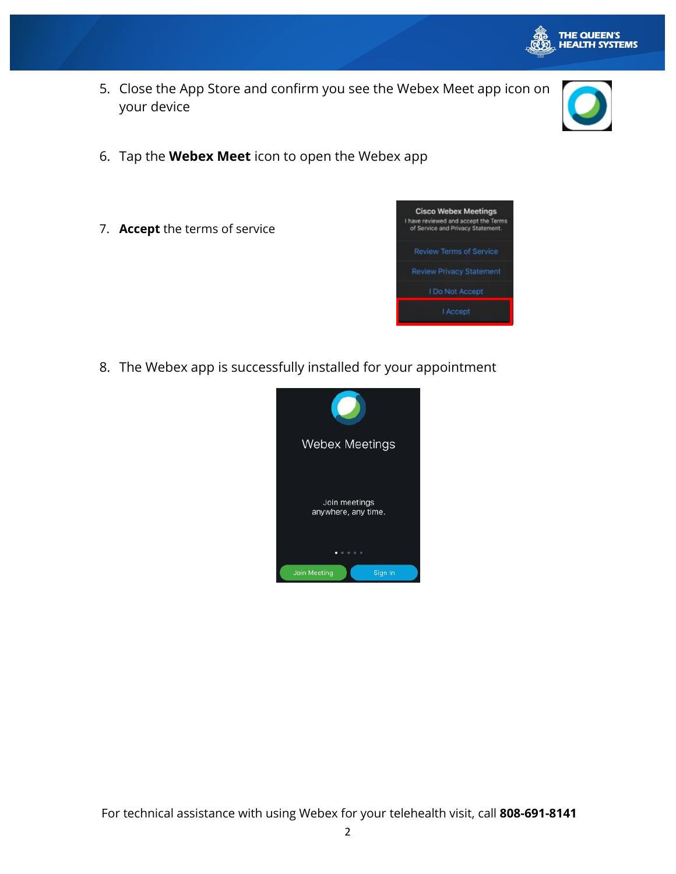

5. Close the App Store and confirm you see the Webex Meet app icon on your device



- 6. Tap the **Webex Meet** icon to open the Webex app
- 7. **Accept** the terms of service



8. The Webex app is successfully installed for your appointment

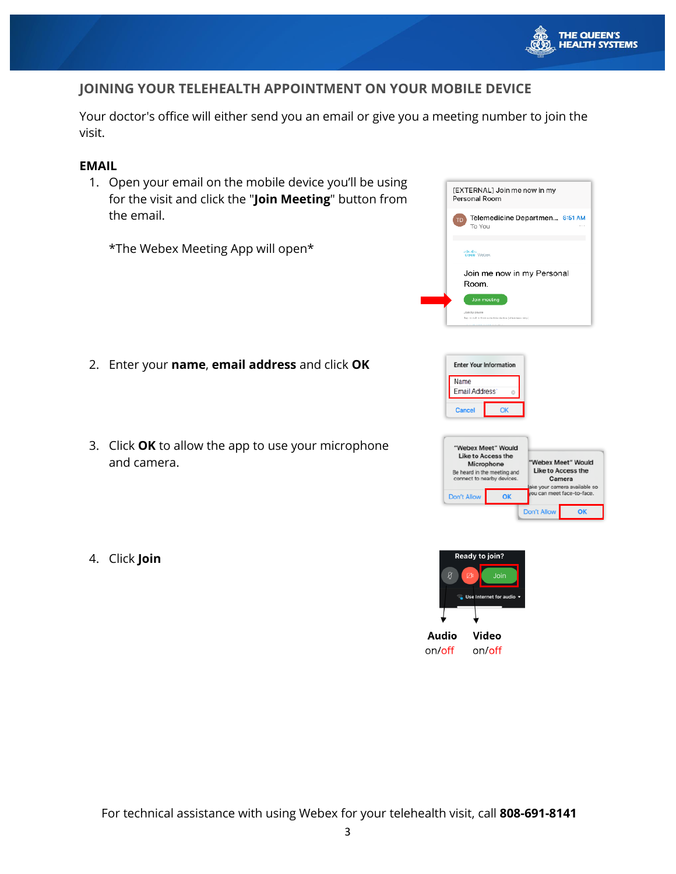

### **JOINING YOUR TELEHEALTH APPOINTMENT ON YOUR MOBILE DEVICE**

Your doctor's office will either send you an email or give you a meeting number to join the visit.

#### **EMAIL**

1. Open your email on the mobile device you'll be using for the visit and click the "**Join Meeting**" button from the email.

\*The Webex Meeting App will open\*

- 2. Enter your **name**, **email address** and click **OK**
- 3. Click **OK** to allow the app to use your microphone and camera.
- 4. Click **Join**





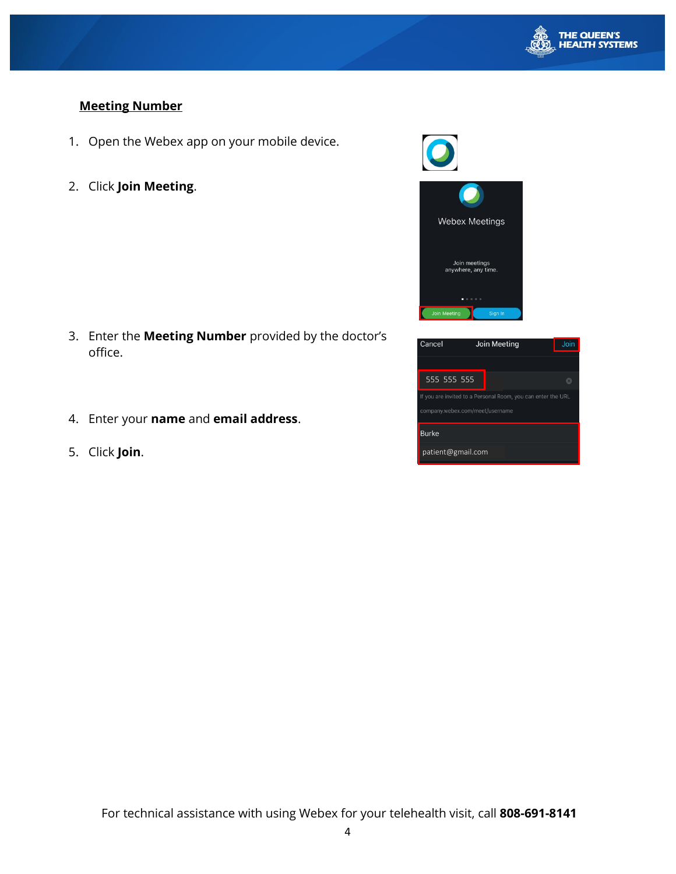

## **Meeting Number**

- 1. Open the Webex app on your mobile device.
- 2. Click **Join Meeting**.

- 3. Enter the **Meeting Number** provided by the doctor's office.
- 4. Enter your **name** and **email address**.
- 5. Click **Join**.



| Cancel                                                                                          | Join Meeting | Join |
|-------------------------------------------------------------------------------------------------|--------------|------|
|                                                                                                 |              |      |
| 555 555 555                                                                                     |              |      |
| If you are invited to a Personal Room, you can enter the URL<br>company.webex.com/meet/username |              |      |
| <b>Burke</b>                                                                                    |              |      |
| patient@gmail.com                                                                               |              |      |